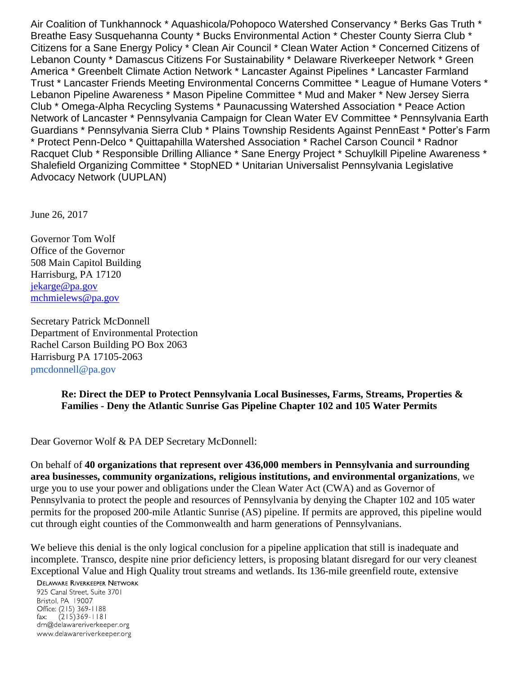Air Coalition of Tunkhannock \* Aquashicola/Pohopoco Watershed Conservancy \* Berks Gas Truth \* Breathe Easy Susquehanna County \* Bucks Environmental Action \* Chester County Sierra Club \* Citizens for a Sane Energy Policy \* Clean Air Council \* Clean Water Action \* Concerned Citizens of Lebanon County \* Damascus Citizens For Sustainability \* Delaware Riverkeeper Network \* Green America \* Greenbelt Climate Action Network \* Lancaster Against Pipelines \* Lancaster Farmland Trust \* Lancaster Friends Meeting Environmental Concerns Committee \* League of Humane Voters \* Lebanon Pipeline Awareness \* Mason Pipeline Committee \* Mud and Maker \* New Jersey Sierra Club \* Omega-Alpha Recycling Systems \* Paunacussing Watershed Association \* Peace Action Network of Lancaster \* Pennsylvania Campaign for Clean Water EV Committee \* Pennsylvania Earth Guardians \* Pennsylvania Sierra Club \* Plains Township Residents Against PennEast \* Potter's Farm \* Protect Penn-Delco \* Quittapahilla Watershed Association \* Rachel Carson Council \* Radnor Racquet Club \* Responsible Drilling Alliance \* Sane Energy Project \* Schuylkill Pipeline Awareness \* Shalefield Organizing Committee \* StopNED \* Unitarian Universalist Pennsylvania Legislative Advocacy Network (UUPLAN)

June 26, 2017

Governor Tom Wolf Office of the Governor 508 Main Capitol Building Harrisburg, PA 17120 [jekarge@pa.gov](mailto:jekarge@pa.gov) [mchmielews@pa.gov](mailto:mchmielews@pa.gov)

Secretary Patrick McDonnell Department of Environmental Protection Rachel Carson Building PO Box 2063 Harrisburg PA 17105-2063 pmcdonnell@pa.gov

## **Re: Direct the DEP to Protect Pennsylvania Local Businesses, Farms, Streams, Properties & Families - Deny the Atlantic Sunrise Gas Pipeline Chapter 102 and 105 Water Permits**

Dear Governor Wolf & PA DEP Secretary McDonnell:

On behalf of **40 organizations that represent over 436,000 members in Pennsylvania and surrounding area businesses, community organizations, religious institutions, and environmental organizations**, we urge you to use your power and obligations under the Clean Water Act (CWA) and as Governor of Pennsylvania to protect the people and resources of Pennsylvania by denying the Chapter 102 and 105 water permits for the proposed 200-mile Atlantic Sunrise (AS) pipeline. If permits are approved, this pipeline would cut through eight counties of the Commonwealth and harm generations of Pennsylvanians.

We believe this denial is the only logical conclusion for a pipeline application that still is inadequate and incomplete. Transco, despite nine prior deficiency letters, is proposing blatant disregard for our very cleanest Exceptional Value and High Quality trout streams and wetlands. Its 136-mile greenfield route, extensive

**DELAWARE RIVERKEEPER NETWORK** 

925 Canal Street, Suite 3701 Bristol, PA 19007 Office: (215) 369-1188  $(215)369 - 1181$  $\mathsf{fax:}$ drn@delawareriverkeeper.org www.delawareriverkeeper.org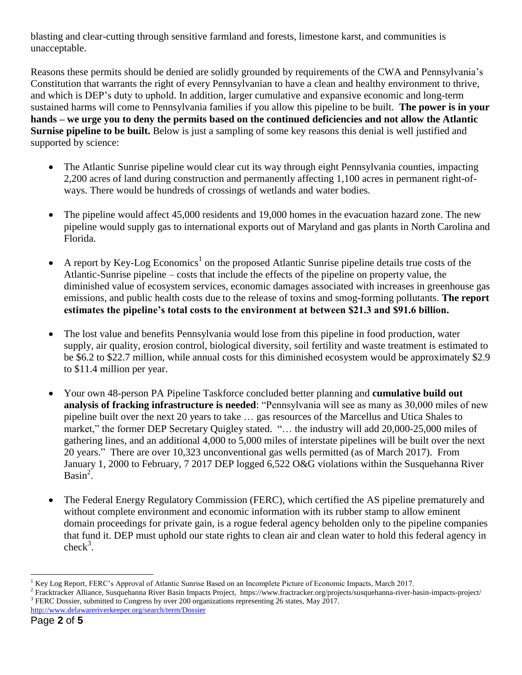blasting and clear-cutting through sensitive farmland and forests, limestone karst, and communities is unacceptable.

Reasons these permits should be denied are solidly grounded by requirements of the CWA and Pennsylvania's Constitution that warrants the right of every Pennsylvanian to have a clean and healthy environment to thrive, and which is DEP's duty to uphold. In addition, larger cumulative and expansive economic and long-term sustained harms will come to Pennsylvania families if you allow this pipeline to be built. **The power is in your hands – we urge you to deny the permits based on the continued deficiencies and not allow the Atlantic Surnise pipeline to be built.** Below is just a sampling of some key reasons this denial is well justified and supported by science:

- The Atlantic Sunrise pipeline would clear cut its way through eight Pennsylvania counties, impacting 2,200 acres of land during construction and permanently affecting 1,100 acres in permanent right-ofways. There would be hundreds of crossings of wetlands and water bodies.
- The pipeline would affect 45,000 residents and 19,000 homes in the evacuation hazard zone. The new pipeline would supply gas to international exports out of Maryland and gas plants in North Carolina and Florida.
- A report by Key-Log Economics<sup>1</sup> on the proposed Atlantic Sunrise pipeline details true costs of the Atlantic-Sunrise pipeline – costs that include the effects of the pipeline on property value, the diminished value of ecosystem services, economic damages associated with increases in greenhouse gas emissions, and public health costs due to the release of toxins and smog-forming pollutants. **The report estimates the pipeline's total costs to the environment at between \$21.3 and \$91.6 billion.**
- The lost value and benefits Pennsylvania would lose from this pipeline in food production, water supply, air quality, erosion control, biological diversity, soil fertility and waste treatment is estimated to be \$6.2 to \$22.7 million, while annual costs for this diminished ecosystem would be approximately \$2.9 to \$11.4 million per year.
- Your own 48-person PA Pipeline Taskforce concluded better planning and **cumulative build out analysis of fracking infrastructure is needed**: "Pennsylvania will see as many as 30,000 miles of new pipeline built over the next 20 years to take … gas resources of the Marcellus and Utica Shales to market," the former DEP Secretary Quigley stated. "… the industry will add 20,000-25,000 miles of gathering lines, and an additional 4,000 to 5,000 miles of interstate pipelines will be built over the next 20 years." There are over 10,323 unconventional gas wells permitted (as of March 2017). From January 1, 2000 to February, 7 2017 DEP logged 6,522 O&G violations within the Susquehanna River Basin<sup>2</sup>.
- The Federal Energy Regulatory Commission (FERC), which certified the AS pipeline prematurely and without complete environment and economic information with its rubber stamp to allow eminent domain proceedings for private gain, is a rogue federal agency beholden only to the pipeline companies that fund it. DEP must uphold our state rights to clean air and clean water to hold this federal agency in  $check<sup>3</sup>$ .

 $\overline{a}$ <sup>1</sup> Key Log Report, FERC's Approval of Atlantic Sunrise Based on an Incomplete Picture of Economic Impacts, March 2017.

<sup>&</sup>lt;sup>2</sup> Fracktracker Alliance, Susquehanna River Basin Impacts Project, https://www.fractracker.org/projects/susquehanna-river-basin-impacts-project/ <sup>3</sup> FERC Dossier, submitted to Congress by over 200 organizations representing 26 states, May 2017.

<http://www.delawareriverkeeper.org/search/term/Dossier>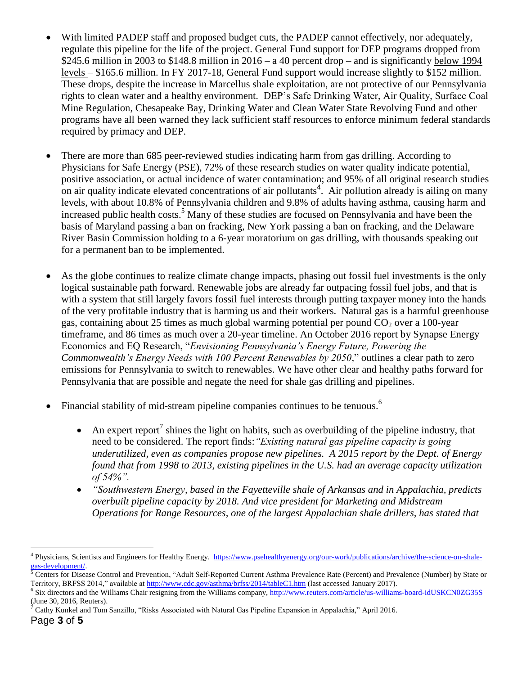- With limited PADEP staff and proposed budget cuts, the PADEP cannot effectively, nor adequately, regulate this pipeline for the life of the project. General Fund support for DEP programs dropped from \$245.6 million in 2003 to \$148.8 million in  $2016 - a$  40 percent drop – and is significantly below 1994 levels – \$165.6 million. In FY 2017-18, General Fund support would increase slightly to \$152 million. These drops, despite the increase in Marcellus shale exploitation, are not protective of our Pennsylvania rights to clean water and a healthy environment. DEP's Safe Drinking Water, Air Quality, Surface Coal Mine Regulation, Chesapeake Bay, Drinking Water and Clean Water State Revolving Fund and other programs have all been warned they lack sufficient staff resources to enforce minimum federal standards required by primacy and DEP.
- There are more than 685 peer-reviewed studies indicating harm from gas drilling. According to Physicians for Safe Energy (PSE), 72% of these research studies on water quality indicate potential, positive association, or actual incidence of water contamination; and 95% of all original research studies on air quality indicate elevated concentrations of air pollutants<sup>4</sup>. Air pollution already is ailing on many levels, with about 10.8% of Pennsylvania children and 9.8% of adults having asthma, causing harm and increased public health costs.<sup>5</sup> Many of these studies are focused on Pennsylvania and have been the basis of Maryland passing a ban on fracking, New York passing a ban on fracking, and the Delaware River Basin Commission holding to a 6-year moratorium on gas drilling, with thousands speaking out for a permanent ban to be implemented.
- As the globe continues to realize climate change impacts, phasing out fossil fuel investments is the only logical sustainable path forward. Renewable jobs are already far outpacing fossil fuel jobs, and that is with a system that still largely favors fossil fuel interests through putting taxpayer money into the hands of the very profitable industry that is harming us and their workers. Natural gas is a harmful greenhouse gas, containing about 25 times as much global warming potential per pound  $CO<sub>2</sub>$  over a 100-year timeframe, and 86 times as much over a 20-year timeline. An October 2016 report by Synapse Energy Economics and EQ Research, "*Envisioning Pennsylvania's Energy Future, Powering the Commonwealth's Energy Needs with 100 Percent Renewables by 2050,*" outlines a clear path to zero emissions for Pennsylvania to switch to renewables. We have other clear and healthy paths forward for Pennsylvania that are possible and negate the need for shale gas drilling and pipelines.
- Financial stability of mid-stream pipeline companies continues to be tenuous.<sup>6</sup>
	- An expert report<sup>7</sup> shines the light on habits, such as overbuilding of the pipeline industry, that need to be considered. The report finds:*"Existing natural gas pipeline capacity is going underutilized, even as companies propose new pipelines. A 2015 report by the Dept. of Energy found that from 1998 to 2013, existing pipelines in the U.S. had an average capacity utilization of 54%".*
	- *"Southwestern Energy, based in the Fayetteville shale of Arkansas and in Appalachia, predicts overbuilt pipeline capacity by 2018. And vice president for Marketing and Midstream Operations for Range Resources, one of the largest Appalachian shale drillers, has stated that*

 $\overline{a}$ 

<sup>&</sup>lt;sup>4</sup> Physicians, Scientists and Engineers for Healthy Energy. [https://www.psehealthyenergy.org/our-work/publications/archive/the-science-on-shale](https://www.psehealthyenergy.org/our-work/publications/archive/the-science-on-shale-gas-development/)[gas-development/.](https://www.psehealthyenergy.org/our-work/publications/archive/the-science-on-shale-gas-development/)

 $5$  Centers for Disease Control and Prevention, "Adult Self-Reported Current Asthma Prevalence Rate (Percent) and Prevalence (Number) by State or Territory, BRFSS 2014," available at<http://www.cdc.gov/asthma/brfss/2014/tableC1.htm> (last accessed January 2017).

<sup>&</sup>lt;sup>6</sup> Six directors and the Williams Chair resigning from the Williams company[, http://www.reuters.com/article/us-williams-board-idUSKCN0ZG35S](http://www.reuters.com/article/us-williams-board-idUSKCN0ZG35S) (June 30, 2016, Reuters).

<sup>7</sup> Cathy Kunkel and Tom Sanzillo, "Risks Associated with Natural Gas Pipeline Expansion in Appalachia," April 2016.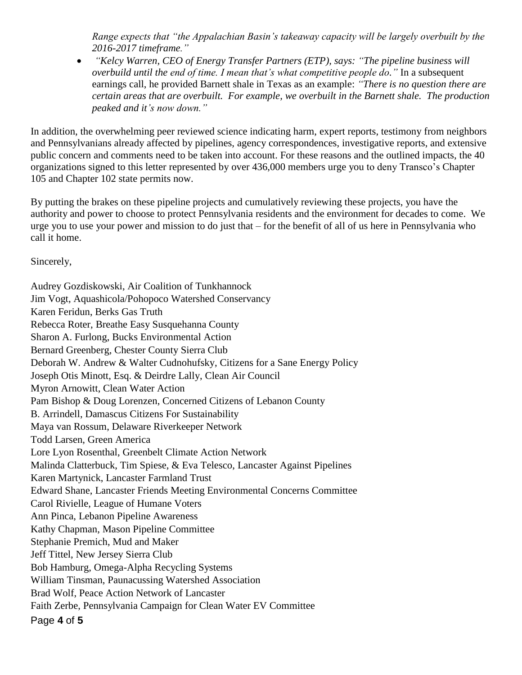*Range expects that "the Appalachian Basin's takeaway capacity will be largely overbuilt by the 2016-2017 timeframe."*

 *"Kelcy Warren, CEO of Energy Transfer Partners (ETP), says: "The pipeline business will overbuild until the end of time. I mean that's what competitive people do."* In a subsequent earnings call, he provided Barnett shale in Texas as an example: *"There is no question there are certain areas that are overbuilt. For example, we overbuilt in the Barnett shale. The production peaked and it's now down."* 

In addition, the overwhelming peer reviewed science indicating harm, expert reports, testimony from neighbors and Pennsylvanians already affected by pipelines, agency correspondences, investigative reports, and extensive public concern and comments need to be taken into account. For these reasons and the outlined impacts, the 40 organizations signed to this letter represented by over 436,000 members urge you to deny Transco's Chapter 105 and Chapter 102 state permits now.

By putting the brakes on these pipeline projects and cumulatively reviewing these projects, you have the authority and power to choose to protect Pennsylvania residents and the environment for decades to come. We urge you to use your power and mission to do just that – for the benefit of all of us here in Pennsylvania who call it home.

Sincerely,

Page **4** of **5** Audrey Gozdiskowski, Air Coalition of Tunkhannock Jim Vogt, Aquashicola/Pohopoco Watershed Conservancy Karen Feridun, Berks Gas Truth Rebecca Roter, Breathe Easy Susquehanna County Sharon A. Furlong, Bucks Environmental Action Bernard Greenberg, Chester County Sierra Club Deborah W. Andrew & Walter Cudnohufsky, Citizens for a Sane Energy Policy Joseph Otis Minott, Esq. & Deirdre Lally, Clean Air Council Myron Arnowitt, Clean Water Action Pam Bishop & Doug Lorenzen, Concerned Citizens of Lebanon County B. Arrindell, Damascus Citizens For Sustainability Maya van Rossum, Delaware Riverkeeper Network Todd Larsen, Green America Lore Lyon Rosenthal, Greenbelt Climate Action Network Malinda Clatterbuck, Tim Spiese, & Eva Telesco, Lancaster Against Pipelines Karen Martynick, Lancaster Farmland Trust Edward Shane, Lancaster Friends Meeting Environmental Concerns Committee Carol Rivielle, League of Humane Voters Ann Pinca, Lebanon Pipeline Awareness Kathy Chapman, Mason Pipeline Committee Stephanie Premich, Mud and Maker Jeff Tittel, New Jersey Sierra Club Bob Hamburg, Omega-Alpha Recycling Systems William Tinsman, Paunacussing Watershed Association Brad Wolf, Peace Action Network of Lancaster Faith Zerbe, Pennsylvania Campaign for Clean Water EV Committee